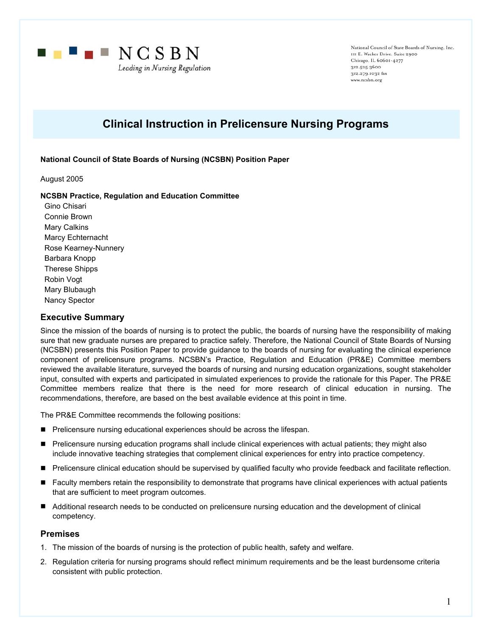

National Council of State Boards of Nursing, Inc. III E. Wacker Drive, Suite 2900 Chicago, IL 60601-4277 312.525.3600 312.279.1032 fax www.ncsbn.org

# **Clinical Instruction in Prelicensure Nursing Programs**

## **National Council of State Boards of Nursing (NCSBN) Position Paper**

August 2005

#### **NCSBN Practice, Regulation and Education Committee**

Gino Chisari Connie Brown Mary Calkins Marcy Echternacht Rose Kearney-Nunnery Barbara Knopp Therese Shipps Robin Vogt Mary Blubaugh Nancy Spector

## **Executive Summary**

Since the mission of the boards of nursing is to protect the public, the boards of nursing have the responsibility of making sure that new graduate nurses are prepared to practice safely. Therefore, the National Council of State Boards of Nursing (NCSBN) presents this Position Paper to provide guidance to the boards of nursing for evaluating the clinical experience component of prelicensure programs. NCSBN's Practice, Regulation and Education (PR&E) Committee members reviewed the available literature, surveyed the boards of nursing and nursing education organizations, sought stakeholder input, consulted with experts and participated in simulated experiences to provide the rationale for this Paper. The PR&E Committee members realize that there is the need for more research of clinical education in nursing. The recommendations, therefore, are based on the best available evidence at this point in time.

The PR&E Committee recommends the following positions:

- **Prelicensure nursing educational experiences should be across the lifespan.**
- Prelicensure nursing education programs shall include clinical experiences with actual patients; they might also include innovative teaching strategies that complement clinical experiences for entry into practice competency.
- Prelicensure clinical education should be supervised by qualified faculty who provide feedback and facilitate reflection.
- **Faculty members retain the responsibility to demonstrate that programs have clinical experiences with actual patients** that are sufficient to meet program outcomes.
- Additional research needs to be conducted on prelicensure nursing education and the development of clinical competency.

## **Premises**

- 1. The mission of the boards of nursing is the protection of public health, safety and welfare.
- 2. Regulation criteria for nursing programs should reflect minimum requirements and be the least burdensome criteria consistent with public protection.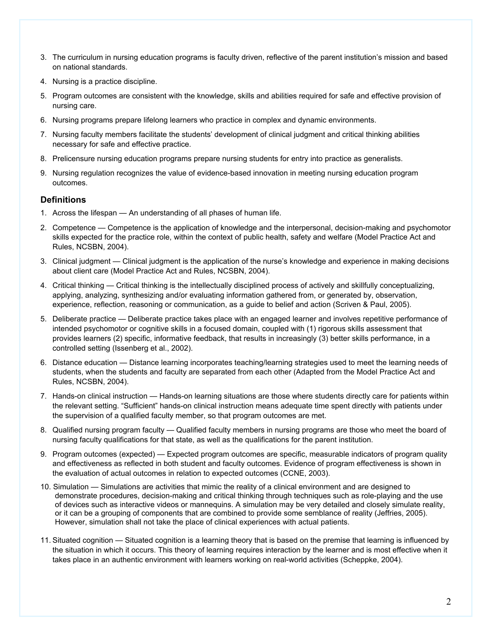- 3. The curriculum in nursing education programs is faculty driven, reflective of the parent institution's mission and based on national standards.
- 4. Nursing is a practice discipline.
- 5. Program outcomes are consistent with the knowledge, skills and abilities required for safe and effective provision of nursing care.
- 6. Nursing programs prepare lifelong learners who practice in complex and dynamic environments.
- 7. Nursing faculty members facilitate the students' development of clinical judgment and critical thinking abilities necessary for safe and effective practice.
- 8. Prelicensure nursing education programs prepare nursing students for entry into practice as generalists.
- 9. Nursing regulation recognizes the value of evidence-based innovation in meeting nursing education program outcomes.

## **Definitions**

- 1. Across the lifespan An understanding of all phases of human life.
- 2. Competence Competence is the application of knowledge and the interpersonal, decision-making and psychomotor skills expected for the practice role, within the context of public health, safety and welfare (Model Practice Act and Rules, NCSBN, 2004).
- 3. Clinical judgment Clinical judgment is the application of the nurse's knowledge and experience in making decisions about client care (Model Practice Act and Rules, NCSBN, 2004).
- 4. Critical thinking Critical thinking is the intellectually disciplined process of actively and skillfully conceptualizing, applying, analyzing, synthesizing and/or evaluating information gathered from, or generated by, observation, experience, reflection, reasoning or communication, as a guide to belief and action (Scriven & Paul, 2005).
- 5. Deliberate practice Deliberate practice takes place with an engaged learner and involves repetitive performance of intended psychomotor or cognitive skills in a focused domain, coupled with (1) rigorous skills assessment that provides learners (2) specific, informative feedback, that results in increasingly (3) better skills performance, in a controlled setting (Issenberg et al., 2002).
- 6. Distance education Distance learning incorporates teaching/learning strategies used to meet the learning needs of students, when the students and faculty are separated from each other (Adapted from the Model Practice Act and Rules, NCSBN, 2004).
- 7. Hands-on clinical instruction Hands-on learning situations are those where students directly care for patients within the relevant setting. "Sufficient" hands-on clinical instruction means adequate time spent directly with patients under the supervision of a qualified faculty member, so that program outcomes are met.
- 8. Qualified nursing program faculty Qualified faculty members in nursing programs are those who meet the board of nursing faculty qualifications for that state, as well as the qualifications for the parent institution.
- 9. Program outcomes (expected) Expected program outcomes are specific, measurable indicators of program quality and effectiveness as reflected in both student and faculty outcomes. Evidence of program effectiveness is shown in the evaluation of actual outcomes in relation to expected outcomes (CCNE, 2003).
- 10. Simulation Simulations are activities that mimic the reality of a clinical environment and are designed to demonstrate procedures, decision-making and critical thinking through techniques such as role-playing and the use of devices such as interactive videos or mannequins. A simulation may be very detailed and closely simulate reality, or it can be a grouping of components that are combined to provide some semblance of reality (Jeffries, 2005). However, simulation shall not take the place of clinical experiences with actual patients.
- 11. Situated cognition Situated cognition is a learning theory that is based on the premise that learning is influenced by the situation in which it occurs. This theory of learning requires interaction by the learner and is most effective when it takes place in an authentic environment with learners working on real-world activities (Scheppke, 2004).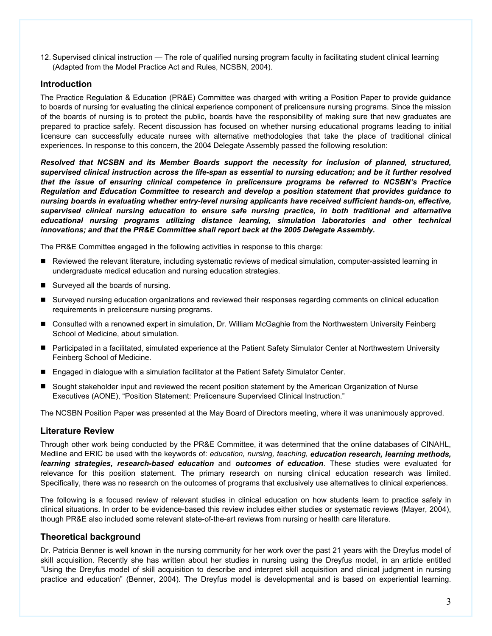12. Supervised clinical instruction — The role of qualified nursing program faculty in facilitating student clinical learning (Adapted from the Model Practice Act and Rules, NCSBN, 2004).

# **Introduction**

The Practice Regulation & Education (PR&E) Committee was charged with writing a Position Paper to provide guidance to boards of nursing for evaluating the clinical experience component of prelicensure nursing programs. Since the mission of the boards of nursing is to protect the public, boards have the responsibility of making sure that new graduates are prepared to practice safely. Recent discussion has focused on whether nursing educational programs leading to initial licensure can successfully educate nurses with alternative methodologies that take the place of traditional clinical experiences. In response to this concern, the 2004 Delegate Assembly passed the following resolution:

*Resolved that NCSBN and its Member Boards support the necessity for inclusion of planned, structured, supervised clinical instruction across the life-span as essential to nursing education; and be it further resolved that the issue of ensuring clinical competence in prelicensure programs be referred to NCSBN's Practice Regulation and Education Committee to research and develop a position statement that provides guidance to nursing boards in evaluating whether entry-level nursing applicants have received sufficient hands-on, effective, supervised clinical nursing education to ensure safe nursing practice, in both traditional and alternative educational nursing programs utilizing distance learning, simulation laboratories and other technical innovations; and that the PR&E Committee shall report back at the 2005 Delegate Assembly.*

The PR&E Committee engaged in the following activities in response to this charge:

- Reviewed the relevant literature, including systematic reviews of medical simulation, computer-assisted learning in undergraduate medical education and nursing education strategies.
- Surveyed all the boards of nursing.
- Surveyed nursing education organizations and reviewed their responses regarding comments on clinical education requirements in prelicensure nursing programs.
- Consulted with a renowned expert in simulation, Dr. William McGaghie from the Northwestern University Feinberg School of Medicine, about simulation.
- Participated in a facilitated, simulated experience at the Patient Safety Simulator Center at Northwestern University Feinberg School of Medicine.
- Engaged in dialogue with a simulation facilitator at the Patient Safety Simulator Center.
- Sought stakeholder input and reviewed the recent position statement by the American Organization of Nurse Executives (AONE), "Position Statement: Prelicensure Supervised Clinical Instruction."

The NCSBN Position Paper was presented at the May Board of Directors meeting, where it was unanimously approved.

## **Literature Review**

Through other work being conducted by the PR&E Committee, it was determined that the online databases of CINAHL, Medline and ERIC be used with the keywords of: *education, nursing, teaching, education research, learning methods, learning strategies, research-based education* and *outcomes of education*. These studies were evaluated for relevance for this position statement. The primary research on nursing clinical education research was limited. Specifically, there was no research on the outcomes of programs that exclusively use alternatives to clinical experiences.

The following is a focused review of relevant studies in clinical education on how students learn to practice safely in clinical situations. In order to be evidence-based this review includes either studies or systematic reviews (Mayer, 2004), though PR&E also included some relevant state-of-the-art reviews from nursing or health care literature.

## **Theoretical background**

Dr. Patricia Benner is well known in the nursing community for her work over the past 21 years with the Dreyfus model of skill acquisition. Recently she has written about her studies in nursing using the Dreyfus model, in an article entitled "Using the Dreyfus model of skill acquisition to describe and interpret skill acquisition and clinical judgment in nursing practice and education" (Benner, 2004). The Dreyfus model is developmental and is based on experiential learning.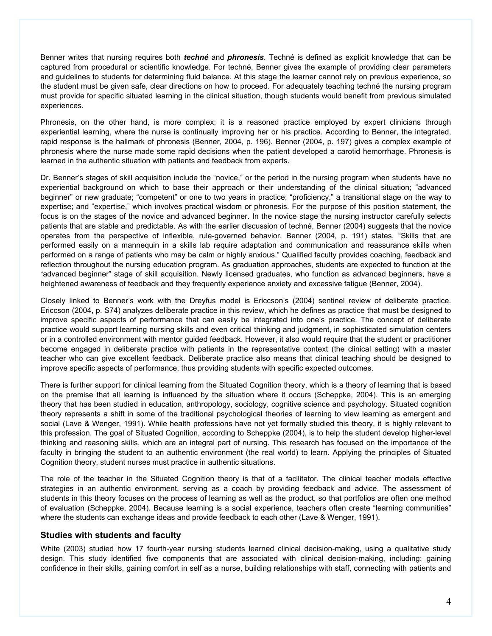Benner writes that nursing requires both *techné* and *phronesis*. Techné is defined as explicit knowledge that can be captured from procedural or scientific knowledge. For techné, Benner gives the example of providing clear parameters and guidelines to students for determining fluid balance. At this stage the learner cannot rely on previous experience, so the student must be given safe, clear directions on how to proceed. For adequately teaching techné the nursing program must provide for specific situated learning in the clinical situation, though students would benefit from previous simulated experiences.

Phronesis, on the other hand, is more complex; it is a reasoned practice employed by expert clinicians through experiential learning, where the nurse is continually improving her or his practice. According to Benner, the integrated, rapid response is the hallmark of phronesis (Benner, 2004, p. 196). Benner (2004, p. 197) gives a complex example of phronesis where the nurse made some rapid decisions when the patient developed a carotid hemorrhage. Phronesis is learned in the authentic situation with patients and feedback from experts.

Dr. Benner's stages of skill acquisition include the "novice," or the period in the nursing program when students have no experiential background on which to base their approach or their understanding of the clinical situation; "advanced beginner" or new graduate; "competent" or one to two years in practice; "proficiency," a transitional stage on the way to expertise; and "expertise," which involves practical wisdom or phronesis. For the purpose of this position statement, the focus is on the stages of the novice and advanced beginner. In the novice stage the nursing instructor carefully selects patients that are stable and predictable. As with the earlier discussion of techné, Benner (2004) suggests that the novice operates from the perspective of inflexible, rule-governed behavior. Benner (2004, p. 191) states, "Skills that are performed easily on a mannequin in a skills lab require adaptation and communication and reassurance skills when performed on a range of patients who may be calm or highly anxious." Qualified faculty provides coaching, feedback and reflection throughout the nursing education program. As graduation approaches, students are expected to function at the "advanced beginner" stage of skill acquisition. Newly licensed graduates, who function as advanced beginners, have a heightened awareness of feedback and they frequently experience anxiety and excessive fatigue (Benner, 2004).

Closely linked to Benner's work with the Dreyfus model is Ericcson's (2004) sentinel review of deliberate practice. Ericcson (2004, p. S74) analyzes deliberate practice in this review, which he defines as practice that must be designed to improve specific aspects of performance that can easily be integrated into one's practice. The concept of deliberate practice would support learning nursing skills and even critical thinking and judgment, in sophisticated simulation centers or in a controlled environment with mentor guided feedback. However, it also would require that the student or practitioner become engaged in deliberate practice with patients in the representative context (the clinical setting) with a master teacher who can give excellent feedback. Deliberate practice also means that clinical teaching should be designed to improve specific aspects of performance, thus providing students with specific expected outcomes.

There is further support for clinical learning from the Situated Cognition theory, which is a theory of learning that is based on the premise that all learning is influenced by the situation where it occurs (Scheppke, 2004). This is an emerging theory that has been studied in education, anthropology, sociology, cognitive science and psychology. Situated cognition theory represents a shift in some of the traditional psychological theories of learning to view learning as emergent and social (Lave & Wenger, 1991). While health professions have not yet formally studied this theory, it is highly relevant to this profession. The goal of Situated Cognition, according to Scheppke (2004), is to help the student develop higher-level thinking and reasoning skills, which are an integral part of nursing. This research has focused on the importance of the faculty in bringing the student to an authentic environment (the real world) to learn. Applying the principles of Situated Cognition theory, student nurses must practice in authentic situations.

The role of the teacher in the Situated Cognition theory is that of a facilitator. The clinical teacher models effective strategies in an authentic environment, serving as a coach by providing feedback and advice. The assessment of students in this theory focuses on the process of learning as well as the product, so that portfolios are often one method of evaluation (Scheppke, 2004). Because learning is a social experience, teachers often create "learning communities" where the students can exchange ideas and provide feedback to each other (Lave & Wenger, 1991).

## **Studies with students and faculty**

White (2003) studied how 17 fourth-year nursing students learned clinical decision-making, using a qualitative study design. This study identified five components that are associated with clinical decision-making, including: gaining confidence in their skills, gaining comfort in self as a nurse, building relationships with staff, connecting with patients and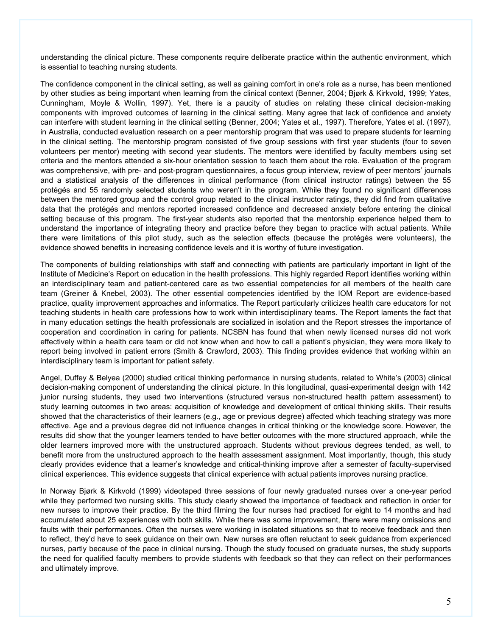understanding the clinical picture. These components require deliberate practice within the authentic environment, which is essential to teaching nursing students.

The confidence component in the clinical setting, as well as gaining comfort in one's role as a nurse, has been mentioned by other studies as being important when learning from the clinical context (Benner, 2004; Bjørk & Kirkvold, 1999; Yates, Cunningham, Moyle & Wollin, 1997). Yet, there is a paucity of studies on relating these clinical decision-making components with improved outcomes of learning in the clinical setting. Many agree that lack of confidence and anxiety can interfere with student learning in the clinical setting (Benner, 2004; Yates et al., 1997). Therefore, Yates et al. (1997), in Australia, conducted evaluation research on a peer mentorship program that was used to prepare students for learning in the clinical setting. The mentorship program consisted of five group sessions with first year students (four to seven volunteers per mentor) meeting with second year students. The mentors were identified by faculty members using set criteria and the mentors attended a six-hour orientation session to teach them about the role. Evaluation of the program was comprehensive, with pre- and post-program questionnaires, a focus group interview, review of peer mentors' journals and a statistical analysis of the differences in clinical performance (from clinical instructor ratings) between the 55 protégés and 55 randomly selected students who weren't in the program. While they found no significant differences between the mentored group and the control group related to the clinical instructor ratings, they did find from qualitative data that the protégés and mentors reported increased confidence and decreased anxiety before entering the clinical setting because of this program. The first-year students also reported that the mentorship experience helped them to understand the importance of integrating theory and practice before they began to practice with actual patients. While there were limitations of this pilot study, such as the selection effects (because the protégés were volunteers), the evidence showed benefits in increasing confidence levels and it is worthy of future investigation.

The components of building relationships with staff and connecting with patients are particularly important in light of the Institute of Medicine's Report on education in the health professions. This highly regarded Report identifies working within an interdisciplinary team and patient-centered care as two essential competencies for all members of the health care team (Greiner & Knebel, 2003). The other essential competencies identified by the IOM Report are evidence-based practice, quality improvement approaches and informatics. The Report particularly criticizes health care educators for not teaching students in health care professions how to work within interdisciplinary teams. The Report laments the fact that in many education settings the health professionals are socialized in isolation and the Report stresses the importance of cooperation and coordination in caring for patients. NCSBN has found that when newly licensed nurses did not work effectively within a health care team or did not know when and how to call a patient's physician, they were more likely to report being involved in patient errors (Smith & Crawford, 2003). This finding provides evidence that working within an interdisciplinary team is important for patient safety.

Angel, Duffey & Belyea (2000) studied critical thinking performance in nursing students, related to White's (2003) clinical decision-making component of understanding the clinical picture. In this longitudinal, quasi-experimental design with 142 junior nursing students, they used two interventions (structured versus non-structured health pattern assessment) to study learning outcomes in two areas: acquisition of knowledge and development of critical thinking skills. Their results showed that the characteristics of their learners (e.g., age or previous degree) affected which teaching strategy was more effective. Age and a previous degree did not influence changes in critical thinking or the knowledge score. However, the results did show that the younger learners tended to have better outcomes with the more structured approach, while the older learners improved more with the unstructured approach. Students without previous degrees tended, as well, to benefit more from the unstructured approach to the health assessment assignment. Most importantly, though, this study clearly provides evidence that a learner's knowledge and critical-thinking improve after a semester of faculty-supervised clinical experiences. This evidence suggests that clinical experience with actual patients improves nursing practice.

In Norway Bjørk & Kirkvold (1999) videotaped three sessions of four newly graduated nurses over a one-year period while they performed two nursing skills. This study clearly showed the importance of feedback and reflection in order for new nurses to improve their practice. By the third filming the four nurses had practiced for eight to 14 months and had accumulated about 25 experiences with both skills. While there was some improvement, there were many omissions and faults with their performances. Often the nurses were working in isolated situations so that to receive feedback and then to reflect, they'd have to seek guidance on their own. New nurses are often reluctant to seek guidance from experienced nurses, partly because of the pace in clinical nursing. Though the study focused on graduate nurses, the study supports the need for qualified faculty members to provide students with feedback so that they can reflect on their performances and ultimately improve.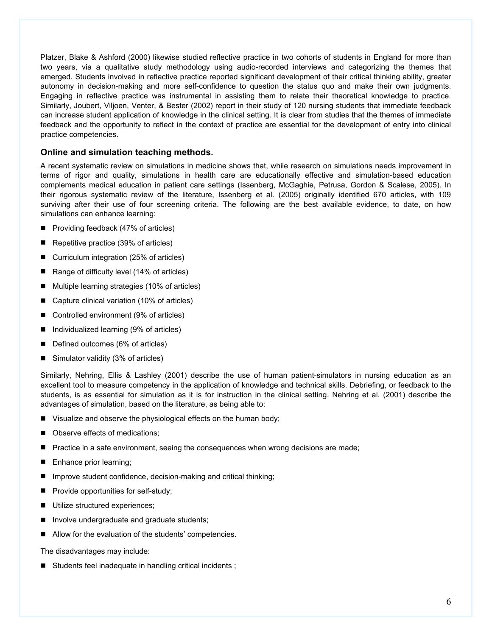Platzer, Blake & Ashford (2000) likewise studied reflective practice in two cohorts of students in England for more than two years, via a qualitative study methodology using audio-recorded interviews and categorizing the themes that emerged. Students involved in reflective practice reported significant development of their critical thinking ability, greater autonomy in decision-making and more self-confidence to question the status quo and make their own judgments. Engaging in reflective practice was instrumental in assisting them to relate their theoretical knowledge to practice. Similarly, Joubert, Viljoen, Venter, & Bester (2002) report in their study of 120 nursing students that immediate feedback can increase student application of knowledge in the clinical setting. It is clear from studies that the themes of immediate feedback and the opportunity to reflect in the context of practice are essential for the development of entry into clinical practice competencies.

# **Online and simulation teaching methods.**

A recent systematic review on simulations in medicine shows that, while research on simulations needs improvement in terms of rigor and quality, simulations in health care are educationally effective and simulation-based education complements medical education in patient care settings (Issenberg, McGaghie, Petrusa, Gordon & Scalese, 2005). In their rigorous systematic review of the literature, Issenberg et al. (2005) originally identified 670 articles, with 109 surviving after their use of four screening criteria. The following are the best available evidence, to date, on how simulations can enhance learning:

- Providing feedback (47% of articles)
- Repetitive practice (39% of articles)
- Curriculum integration (25% of articles)
- Range of difficulty level  $(14\% \text{ of articles})$
- Multiple learning strategies (10% of articles)
- Capture clinical variation (10% of articles)
- Controlled environment (9% of articles)
- Individualized learning (9% of articles)
- Defined outcomes (6% of articles)
- Simulator validity (3% of articles)

Similarly, Nehring, Ellis & Lashley (2001) describe the use of human patient-simulators in nursing education as an excellent tool to measure competency in the application of knowledge and technical skills. Debriefing, or feedback to the students, is as essential for simulation as it is for instruction in the clinical setting. Nehring et al. (2001) describe the advantages of simulation, based on the literature, as being able to:

- Visualize and observe the physiological effects on the human body;
- Observe effects of medications;
- Practice in a safe environment, seeing the consequences when wrong decisions are made;
- **Enhance prior learning;**
- Improve student confidence, decision-making and critical thinking;
- **Provide opportunities for self-study;**
- Utilize structured experiences;
- Involve undergraduate and graduate students;
- Allow for the evaluation of the students' competencies.

The disadvantages may include:

Students feel inadequate in handling critical incidents;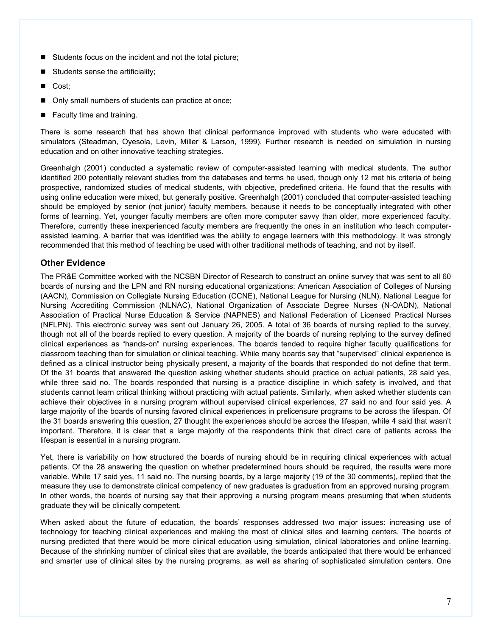- Students focus on the incident and not the total picture;
- Students sense the artificiality;
- Cost;
- Only small numbers of students can practice at once;
- **Faculty time and training.**

There is some research that has shown that clinical performance improved with students who were educated with simulators (Steadman, Oyesola, Levin, Miller & Larson, 1999). Further research is needed on simulation in nursing education and on other innovative teaching strategies.

Greenhalgh (2001) conducted a systematic review of computer-assisted learning with medical students. The author identified 200 potentially relevant studies from the databases and terms he used, though only 12 met his criteria of being prospective, randomized studies of medical students, with objective, predefined criteria. He found that the results with using online education were mixed, but generally positive. Greenhalgh (2001) concluded that computer-assisted teaching should be employed by senior (not junior) faculty members, because it needs to be conceptually integrated with other forms of learning. Yet, younger faculty members are often more computer savvy than older, more experienced faculty. Therefore, currently these inexperienced faculty members are frequently the ones in an institution who teach computerassisted learning. A barrier that was identified was the ability to engage learners with this methodology. It was strongly recommended that this method of teaching be used with other traditional methods of teaching, and not by itself.

# **Other Evidence**

The PR&E Committee worked with the NCSBN Director of Research to construct an online survey that was sent to all 60 boards of nursing and the LPN and RN nursing educational organizations: American Association of Colleges of Nursing (AACN), Commission on Collegiate Nursing Education (CCNE), National League for Nursing (NLN), National League for Nursing Accrediting Commission (NLNAC), National Organization of Associate Degree Nurses (N-OADN), National Association of Practical Nurse Education & Service (NAPNES) and National Federation of Licensed Practical Nurses (NFLPN). This electronic survey was sent out January 26, 2005. A total of 36 boards of nursing replied to the survey, though not all of the boards replied to every question. A majority of the boards of nursing replying to the survey defined clinical experiences as "hands-on" nursing experiences. The boards tended to require higher faculty qualifications for classroom teaching than for simulation or clinical teaching. While many boards say that "supervised" clinical experience is defined as a clinical instructor being physically present, a majority of the boards that responded do not define that term. Of the 31 boards that answered the question asking whether students should practice on actual patients, 28 said yes, while three said no. The boards responded that nursing is a practice discipline in which safety is involved, and that students cannot learn critical thinking without practicing with actual patients. Similarly, when asked whether students can achieve their objectives in a nursing program without supervised clinical experiences, 27 said no and four said yes. A large majority of the boards of nursing favored clinical experiences in prelicensure programs to be across the lifespan. Of the 31 boards answering this question, 27 thought the experiences should be across the lifespan, while 4 said that wasn't important. Therefore, it is clear that a large majority of the respondents think that direct care of patients across the lifespan is essential in a nursing program.

Yet, there is variability on how structured the boards of nursing should be in requiring clinical experiences with actual patients. Of the 28 answering the question on whether predetermined hours should be required, the results were more variable. While 17 said yes, 11 said no. The nursing boards, by a large majority (19 of the 30 comments), replied that the measure they use to demonstrate clinical competency of new graduates is graduation from an approved nursing program. In other words, the boards of nursing say that their approving a nursing program means presuming that when students graduate they will be clinically competent.

When asked about the future of education, the boards' responses addressed two major issues: increasing use of technology for teaching clinical experiences and making the most of clinical sites and learning centers. The boards of nursing predicted that there would be more clinical education using simulation, clinical laboratories and online learning. Because of the shrinking number of clinical sites that are available, the boards anticipated that there would be enhanced and smarter use of clinical sites by the nursing programs, as well as sharing of sophisticated simulation centers. One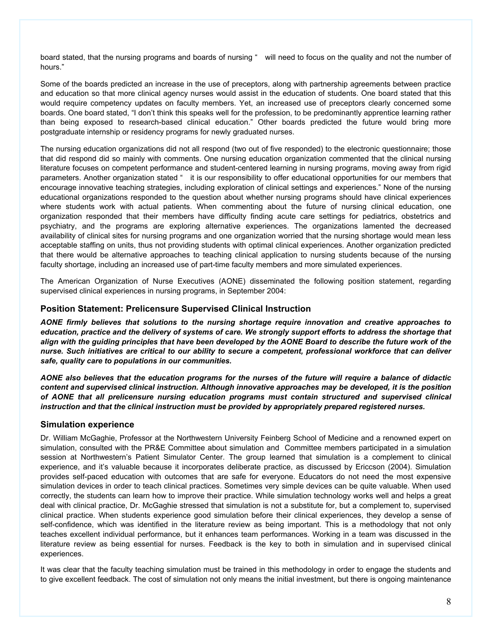board stated, that the nursing programs and boards of nursing " will need to focus on the quality and not the number of hours."

Some of the boards predicted an increase in the use of preceptors, along with partnership agreements between practice and education so that more clinical agency nurses would assist in the education of students. One board stated that this would require competency updates on faculty members. Yet, an increased use of preceptors clearly concerned some boards. One board stated, "I don't think this speaks well for the profession, to be predominantly apprentice learning rather than being exposed to research-based clinical education." Other boards predicted the future would bring more postgraduate internship or residency programs for newly graduated nurses.

The nursing education organizations did not all respond (two out of five responded) to the electronic questionnaire; those that did respond did so mainly with comments. One nursing education organization commented that the clinical nursing literature focuses on competent performance and student-centered learning in nursing programs, moving away from rigid parameters. Another organization stated " it is our responsibility to offer educational opportunities for our members that encourage innovative teaching strategies, including exploration of clinical settings and experiences." None of the nursing educational organizations responded to the question about whether nursing programs should have clinical experiences where students work with actual patients. When commenting about the future of nursing clinical education, one organization responded that their members have difficulty finding acute care settings for pediatrics, obstetrics and psychiatry, and the programs are exploring alternative experiences. The organizations lamented the decreased availability of clinical sites for nursing programs and one organization worried that the nursing shortage would mean less acceptable staffing on units, thus not providing students with optimal clinical experiences. Another organization predicted that there would be alternative approaches to teaching clinical application to nursing students because of the nursing faculty shortage, including an increased use of part-time faculty members and more simulated experiences.

The American Organization of Nurse Executives (AONE) disseminated the following position statement, regarding supervised clinical experiences in nursing programs, in September 2004:

## **Position Statement: Prelicensure Supervised Clinical Instruction**

*AONE firmly believes that solutions to the nursing shortage require innovation and creative approaches to education, practice and the delivery of systems of care. We strongly support efforts to address the shortage that align with the guiding principles that have been developed by the AONE Board to describe the future work of the nurse. Such initiatives are critical to our ability to secure a competent, professional workforce that can deliver safe, quality care to populations in our communities.* 

*AONE also believes that the education programs for the nurses of the future will require a balance of didactic content and supervised clinical instruction. Although innovative approaches may be developed, it is the position of AONE that all prelicensure nursing education programs must contain structured and supervised clinical instruction and that the clinical instruction must be provided by appropriately prepared registered nurses.*

## **Simulation experience**

Dr. William McGaghie, Professor at the Northwestern University Feinberg School of Medicine and a renowned expert on simulation, consulted with the PR&E Committee about simulation and Committee members participated in a simulation session at Northwestern's Patient Simulator Center. The group learned that simulation is a complement to clinical experience, and it's valuable because it incorporates deliberate practice, as discussed by Ericcson (2004). Simulation provides self-paced education with outcomes that are safe for everyone. Educators do not need the most expensive simulation devices in order to teach clinical practices. Sometimes very simple devices can be quite valuable. When used correctly, the students can learn how to improve their practice. While simulation technology works well and helps a great deal with clinical practice, Dr. McGaghie stressed that simulation is not a substitute for, but a complement to, supervised clinical practice. When students experience good simulation before their clinical experiences, they develop a sense of self-confidence, which was identified in the literature review as being important. This is a methodology that not only teaches excellent individual performance, but it enhances team performances. Working in a team was discussed in the literature review as being essential for nurses. Feedback is the key to both in simulation and in supervised clinical experiences.

It was clear that the faculty teaching simulation must be trained in this methodology in order to engage the students and to give excellent feedback. The cost of simulation not only means the initial investment, but there is ongoing maintenance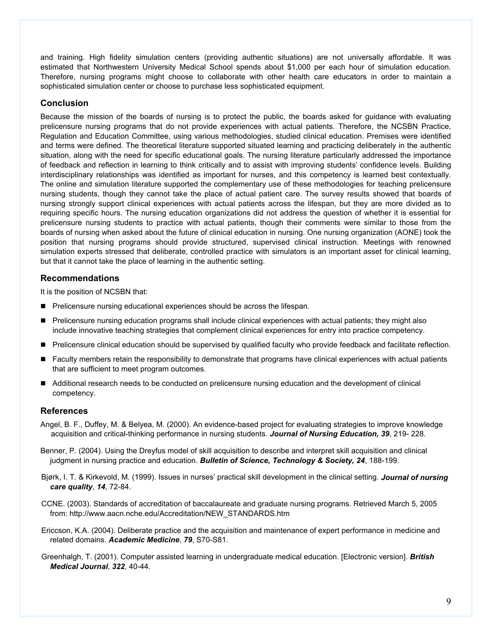and training. High fidelity simulation centers (providing authentic situations) are not universally affordable. It was estimated that Northwestern University Medical School spends about \$1,000 per each hour of simulation education. Therefore, nursing programs might choose to collaborate with other health care educators in order to maintain a sophisticated simulation center or choose to purchase less sophisticated equipment.

# **Conclusion**

Because the mission of the boards of nursing is to protect the public, the boards asked for guidance with evaluating prelicensure nursing programs that do not provide experiences with actual patients. Therefore, the NCSBN Practice, Regulation and Education Committee, using various methodologies, studied clinical education. Premises were identified and terms were defined. The theoretical literature supported situated learning and practicing deliberately in the authentic situation, along with the need for specific educational goals. The nursing literature particularly addressed the importance of feedback and reflection in learning to think critically and to assist with improving students' confidence levels. Building interdisciplinary relationships was identified as important for nurses, and this competency is learned best contextually. The online and simulation literature supported the complementary use of these methodologies for teaching prelicensure nursing students, though they cannot take the place of actual patient care. The survey results showed that boards of nursing strongly support clinical experiences with actual patients across the lifespan, but they are more divided as to requiring specific hours. The nursing education organizations did not address the question of whether it is essential for prelicensure nursing students to practice with actual patients, though their comments were similar to those from the boards of nursing when asked about the future of clinical education in nursing. One nursing organization (AONE) took the position that nursing programs should provide structured, supervised clinical instruction. Meetings with renowned simulation experts stressed that deliberate, controlled practice with simulators is an important asset for clinical learning, but that it cannot take the place of learning in the authentic setting.

# **Recommendations**

It is the position of NCSBN that:

- **Prelicensure nursing educational experiences should be across the lifespan.**
- **Prelicensure nursing education programs shall include clinical experiences with actual patients; they might also** include innovative teaching strategies that complement clinical experiences for entry into practice competency.
- Prelicensure clinical education should be supervised by qualified faculty who provide feedback and facilitate reflection.
- **Faculty members retain the responsibility to demonstrate that programs have clinical experiences with actual patients** that are sufficient to meet program outcomes.
- Additional research needs to be conducted on prelicensure nursing education and the development of clinical competency.

## **References**

- Angel, B. F., Duffey, M. & Belyea, M. (2000). An evidence-based project for evaluating strategies to improve knowledge acquisition and critical-thinking performance in nursing students. *Journal of Nursing Education, 39*, 219- 228.
- Benner, P. (2004). Using the Dreyfus model of skill acquisition to describe and interpret skill acquisition and clinical judgment in nursing practice and education. *Bulletin of Science, Technology & Society, 24*, 188-199.
- Bjørk, I. T. & Kirkevold, M. (1999). Issues in nurses' practical skill development in the clinical setting. *Journal of nursing care quality*, *14*, 72-84.
- CCNE. (2003). Standards of accreditation of baccalaureate and graduate nursing programs. Retrieved March 5, 2005 from: http://www.aacn.nche.edu/Accreditation/NEW\_STANDARDS.htm
- Ericcson, K.A. (2004). Deliberate practice and the acquisition and maintenance of expert performance in medicine and related domains. *Academic Medicine*, *79*, S70-S81.
- Greenhalgh, T. (2001). Computer assisted learning in undergraduate medical education. [Electronic version]. *British Medical Journal*, *322*, 40-44.